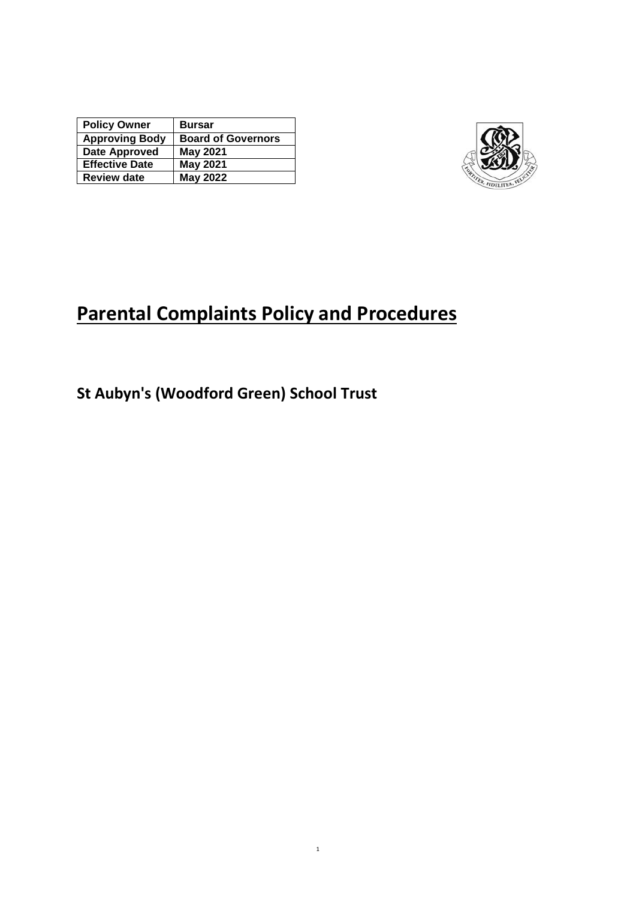| <b>Policy Owner</b>   | <b>Bursar</b>             |
|-----------------------|---------------------------|
| <b>Approving Body</b> | <b>Board of Governors</b> |
| Date Approved         | <b>May 2021</b>           |
| <b>Effective Date</b> | <b>May 2021</b>           |
| <b>Review date</b>    | <b>May 2022</b>           |



# **Parental Complaints Policy and Procedures**

**St Aubyn's (Woodford Green) School Trust**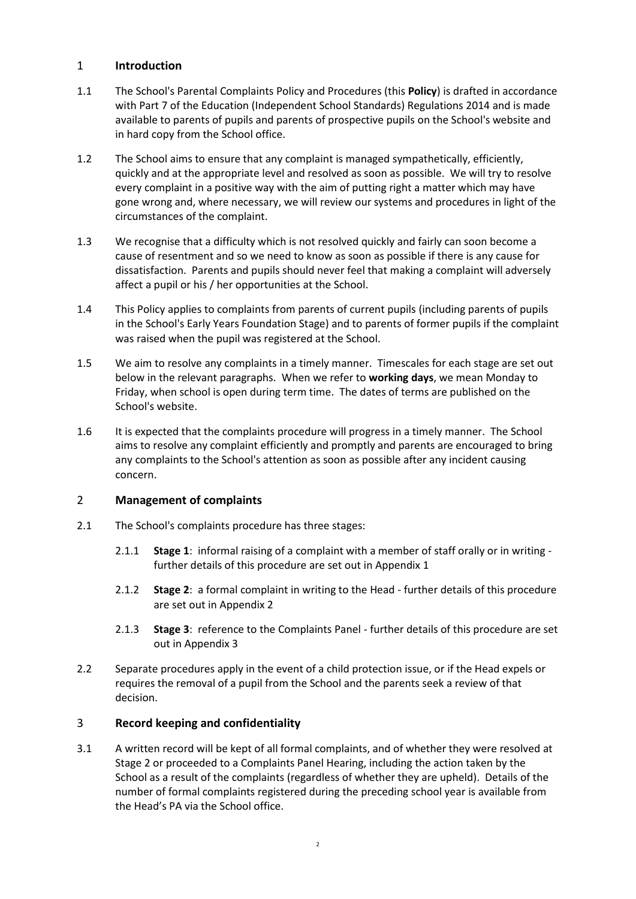# 1 **Introduction**

- 1.1 The School's Parental Complaints Policy and Procedures (this **Policy**) is drafted in accordance with Part 7 of the Education (Independent School Standards) Regulations 2014 and is made available to parents of pupils and parents of prospective pupils on the School's website and in hard copy from the School office.
- 1.2 The School aims to ensure that any complaint is managed sympathetically, efficiently, quickly and at the appropriate level and resolved as soon as possible. We will try to resolve every complaint in a positive way with the aim of putting right a matter which may have gone wrong and, where necessary, we will review our systems and procedures in light of the circumstances of the complaint.
- 1.3 We recognise that a difficulty which is not resolved quickly and fairly can soon become a cause of resentment and so we need to know as soon as possible if there is any cause for dissatisfaction. Parents and pupils should never feel that making a complaint will adversely affect a pupil or his / her opportunities at the School.
- 1.4 This Policy applies to complaints from parents of current pupils (including parents of pupils in the School's Early Years Foundation Stage) and to parents of former pupils if the complaint was raised when the pupil was registered at the School.
- 1.5 We aim to resolve any complaints in a timely manner. Timescales for each stage are set out below in the relevant paragraphs. When we refer to **working days**, we mean Monday to Friday, when school is open during term time. The dates of terms are published on the School's website.
- 1.6 It is expected that the complaints procedure will progress in a timely manner. The School aims to resolve any complaint efficiently and promptly and parents are encouraged to bring any complaints to the School's attention as soon as possible after any incident causing concern.

#### 2 **Management of complaints**

- 2.1 The School's complaints procedure has three stages:
	- 2.1.1 **Stage 1**: informal raising of a complaint with a member of staff orally or in writing further details of this procedure are set out in [Appendix 1](#page-3-0)
	- 2.1.2 **Stage 2**: a formal complaint in writing to the Head further details of this procedure are set out i[n Appendix 2](#page-4-0)
	- 2.1.3 **Stage 3**: reference to the Complaints Panel further details of this procedure are set out i[n Appendix 3](#page-5-0)
- 2.2 Separate procedures apply in the event of a child protection issue, or if the Head expels or requires the removal of a pupil from the School and the parents seek a review of that decision.

#### 3 **Record keeping and confidentiality**

3.1 A written record will be kept of all formal complaints, and of whether they were resolved at Stage 2 or proceeded to a Complaints Panel Hearing, including the action taken by the School as a result of the complaints (regardless of whether they are upheld). Details of the number of formal complaints registered during the preceding school year is available from the Head's PA via the School office.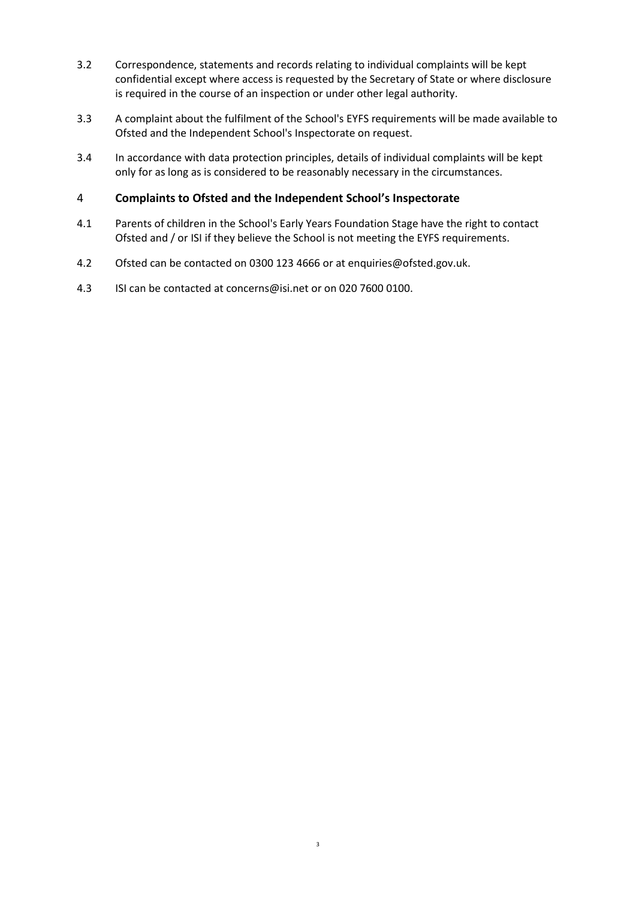- 3.2 Correspondence, statements and records relating to individual complaints will be kept confidential except where access is requested by the Secretary of State or where disclosure is required in the course of an inspection or under other legal authority.
- 3.3 A complaint about the fulfilment of the School's EYFS requirements will be made available to Ofsted and the Independent School's Inspectorate on request.
- 3.4 In accordance with data protection principles, details of individual complaints will be kept only for as long as is considered to be reasonably necessary in the circumstances.

#### 4 **Complaints to Ofsted and the Independent School's Inspectorate**

- 4.1 Parents of children in the School's Early Years Foundation Stage have the right to contact Ofsted and / or ISI if they believe the School is not meeting the EYFS requirements.
- 4.2 Ofsted can be contacted on 0300 123 4666 or at enquiries@ofsted.gov.uk.
- 4.3 ISI can be contacted a[t concerns@isi.net](mailto:concerns@isi.net) or on 020 7600 0100.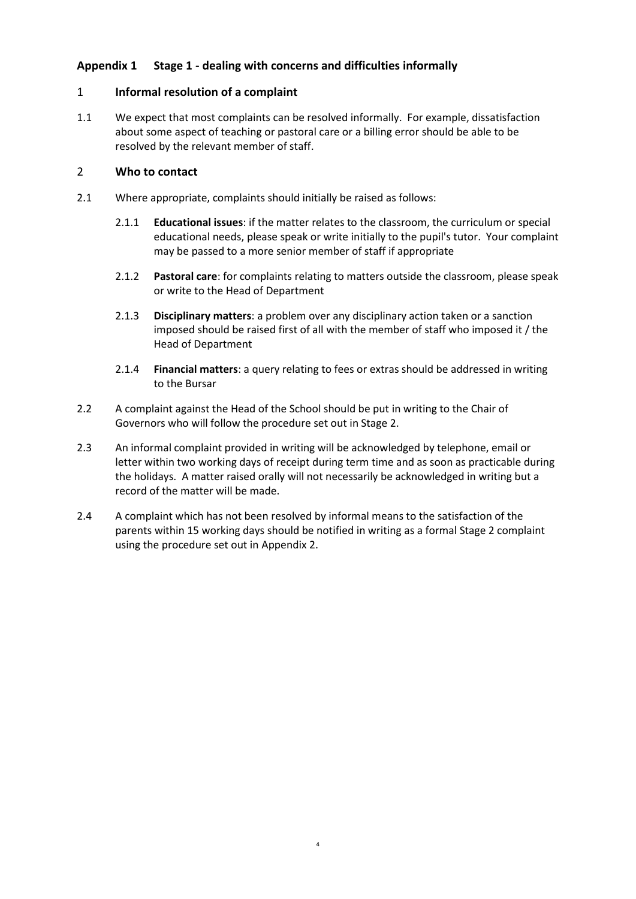# <span id="page-3-0"></span>**Appendix 1 Stage 1 - dealing with concerns and difficulties informally**

# 1 **Informal resolution of a complaint**

1.1 We expect that most complaints can be resolved informally. For example, dissatisfaction about some aspect of teaching or pastoral care or a billing error should be able to be resolved by the relevant member of staff.

## 2 **Who to contact**

- 2.1 Where appropriate, complaints should initially be raised as follows:
	- 2.1.1 **Educational issues**: if the matter relates to the classroom, the curriculum or special educational needs, please speak or write initially to the pupil's tutor. Your complaint may be passed to a more senior member of staff if appropriate
	- 2.1.2 **Pastoral care**: for complaints relating to matters outside the classroom, please speak or write to the Head of Department
	- 2.1.3 **Disciplinary matters**: a problem over any disciplinary action taken or a sanction imposed should be raised first of all with the member of staff who imposed it / the Head of Department
	- 2.1.4 **Financial matters**: a query relating to fees or extras should be addressed in writing to the Bursar
- 2.2 A complaint against the Head of the School should be put in writing to the Chair of Governors who will follow the procedure set out in Stage 2.
- 2.3 An informal complaint provided in writing will be acknowledged by telephone, email or letter within two working days of receipt during term time and as soon as practicable during the holidays. A matter raised orally will not necessarily be acknowledged in writing but a record of the matter will be made.
- 2.4 A complaint which has not been resolved by informal means to the satisfaction of the parents within 15 working days should be notified in writing as a formal Stage 2 complaint using the procedure set out in [Appendix 2.](#page-4-0)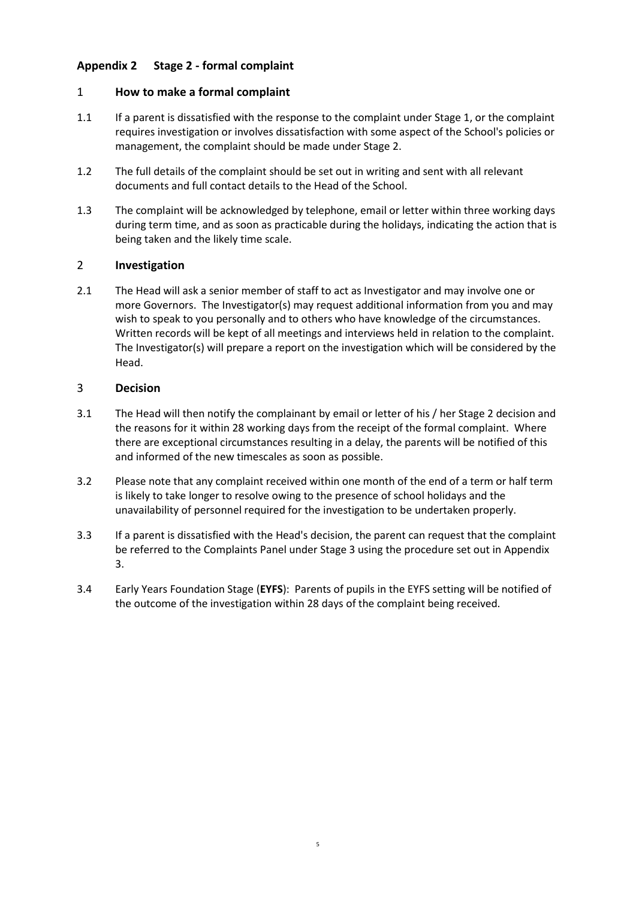# <span id="page-4-0"></span>**Appendix 2 Stage 2 - formal complaint**

# 1 **How to make a formal complaint**

- 1.1 If a parent is dissatisfied with the response to the complaint under Stage 1, or the complaint requires investigation or involves dissatisfaction with some aspect of the School's policies or management, the complaint should be made under Stage 2.
- 1.2 The full details of the complaint should be set out in writing and sent with all relevant documents and full contact details to the Head of the School.
- 1.3 The complaint will be acknowledged by telephone, email or letter within three working days during term time, and as soon as practicable during the holidays, indicating the action that is being taken and the likely time scale.

# 2 **Investigation**

2.1 The Head will ask a senior member of staff to act as Investigator and may involve one or more Governors. The Investigator(s) may request additional information from you and may wish to speak to you personally and to others who have knowledge of the circumstances. Written records will be kept of all meetings and interviews held in relation to the complaint. The Investigator(s) will prepare a report on the investigation which will be considered by the Head.

#### 3 **Decision**

- 3.1 The Head will then notify the complainant by email or letter of his / her Stage 2 decision and the reasons for it within 28 working days from the receipt of the formal complaint. Where there are exceptional circumstances resulting in a delay, the parents will be notified of this and informed of the new timescales as soon as possible.
- 3.2 Please note that any complaint received within one month of the end of a term or half term is likely to take longer to resolve owing to the presence of school holidays and the unavailability of personnel required for the investigation to be undertaken properly.
- 3.3 If a parent is dissatisfied with the Head's decision, the parent can request that the complaint be referred to the Complaints Panel under Stage 3 using the procedure set out in [Appendix](#page-5-0)  [3.](#page-5-0)
- 3.4 Early Years Foundation Stage (**EYFS**): Parents of pupils in the EYFS setting will be notified of the outcome of the investigation within 28 days of the complaint being received.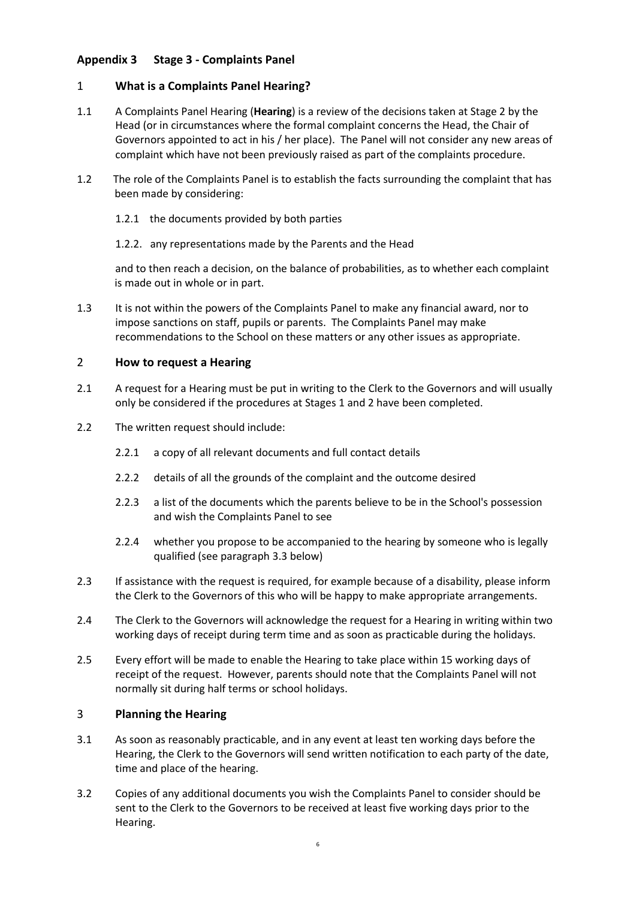# <span id="page-5-0"></span>**Appendix 3 Stage 3 - Complaints Panel**

# 1 **What is a Complaints Panel Hearing?**

- 1.1 A Complaints Panel Hearing (**Hearing**) is a review of the decisions taken at Stage 2 by the Head (or in circumstances where the formal complaint concerns the Head, the Chair of Governors appointed to act in his / her place). The Panel will not consider any new areas of complaint which have not been previously raised as part of the complaints procedure.
- 1.2 The role of the Complaints Panel is to establish the facts surrounding the complaint that has been made by considering:
	- 1.2.1 the documents provided by both parties
	- 1.2.2. any representations made by the Parents and the Head

and to then reach a decision, on the balance of probabilities, as to whether each complaint is made out in whole or in part.

1.3 It is not within the powers of the Complaints Panel to make any financial award, nor to impose sanctions on staff, pupils or parents. The Complaints Panel may make recommendations to the School on these matters or any other issues as appropriate.

#### 2 **How to request a Hearing**

- 2.1 A request for a Hearing must be put in writing to the Clerk to the Governors and will usually only be considered if the procedures at Stages 1 and 2 have been completed.
- 2.2 The written request should include:
	- 2.2.1 a copy of all relevant documents and full contact details
	- 2.2.2 details of all the grounds of the complaint and the outcome desired
	- 2.2.3 a list of the documents which the parents believe to be in the School's possession and wish the Complaints Panel to see
	- 2.2.4 whether you propose to be accompanied to the hearing by someone who is legally qualified (see paragraph [3.3](#page-6-0) below)
- 2.3 If assistance with the request is required, for example because of a disability, please inform the Clerk to the Governors of this who will be happy to make appropriate arrangements.
- 2.4 The Clerk to the Governors will acknowledge the request for a Hearing in writing within two working days of receipt during term time and as soon as practicable during the holidays.
- 2.5 Every effort will be made to enable the Hearing to take place within 15 working days of receipt of the request. However, parents should note that the Complaints Panel will not normally sit during half terms or school holidays.

# 3 **Planning the Hearing**

- 3.1 As soon as reasonably practicable, and in any event at least ten working days before the Hearing, the Clerk to the Governors will send written notification to each party of the date, time and place of the hearing.
- 3.2 Copies of any additional documents you wish the Complaints Panel to consider should be sent to the Clerk to the Governors to be received at least five working days prior to the Hearing.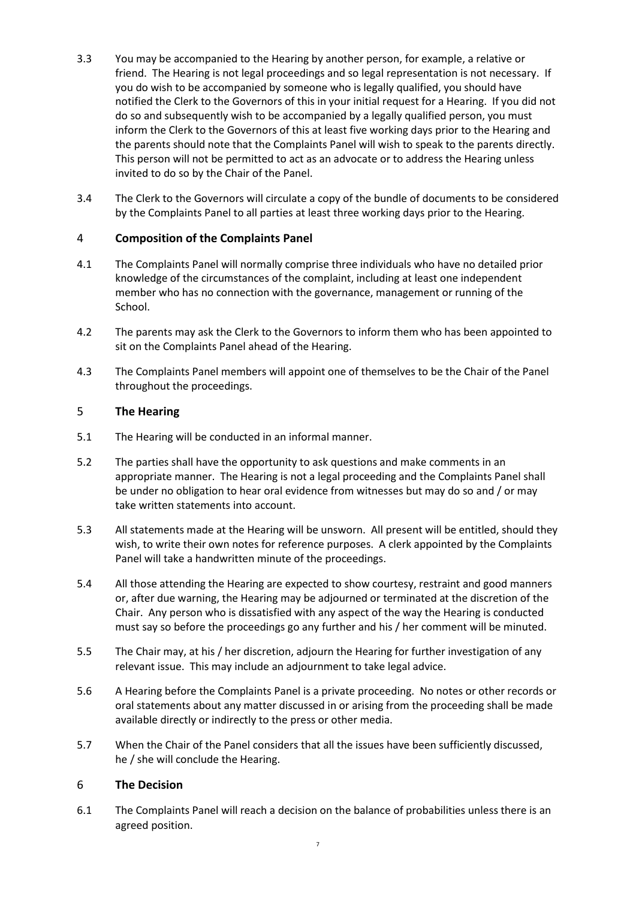- <span id="page-6-0"></span>3.3 You may be accompanied to the Hearing by another person, for example, a relative or friend. The Hearing is not legal proceedings and so legal representation is not necessary. If you do wish to be accompanied by someone who is legally qualified, you should have notified the Clerk to the Governors of this in your initial request for a Hearing. If you did not do so and subsequently wish to be accompanied by a legally qualified person, you must inform the Clerk to the Governors of this at least five working days prior to the Hearing and the parents should note that the Complaints Panel will wish to speak to the parents directly. This person will not be permitted to act as an advocate or to address the Hearing unless invited to do so by the Chair of the Panel.
- 3.4 The Clerk to the Governors will circulate a copy of the bundle of documents to be considered by the Complaints Panel to all parties at least three working days prior to the Hearing.

# 4 **Composition of the Complaints Panel**

- 4.1 The Complaints Panel will normally comprise three individuals who have no detailed prior knowledge of the circumstances of the complaint, including at least one independent member who has no connection with the governance, management or running of the School.
- 4.2 The parents may ask the Clerk to the Governors to inform them who has been appointed to sit on the Complaints Panel ahead of the Hearing.
- 4.3 The Complaints Panel members will appoint one of themselves to be the Chair of the Panel throughout the proceedings.

# 5 **The Hearing**

- 5.1 The Hearing will be conducted in an informal manner.
- 5.2 The parties shall have the opportunity to ask questions and make comments in an appropriate manner. The Hearing is not a legal proceeding and the Complaints Panel shall be under no obligation to hear oral evidence from witnesses but may do so and / or may take written statements into account.
- 5.3 All statements made at the Hearing will be unsworn. All present will be entitled, should they wish, to write their own notes for reference purposes. A clerk appointed by the Complaints Panel will take a handwritten minute of the proceedings.
- 5.4 All those attending the Hearing are expected to show courtesy, restraint and good manners or, after due warning, the Hearing may be adjourned or terminated at the discretion of the Chair. Any person who is dissatisfied with any aspect of the way the Hearing is conducted must say so before the proceedings go any further and his / her comment will be minuted.
- 5.5 The Chair may, at his / her discretion, adjourn the Hearing for further investigation of any relevant issue. This may include an adjournment to take legal advice.
- 5.6 A Hearing before the Complaints Panel is a private proceeding. No notes or other records or oral statements about any matter discussed in or arising from the proceeding shall be made available directly or indirectly to the press or other media.
- 5.7 When the Chair of the Panel considers that all the issues have been sufficiently discussed, he / she will conclude the Hearing.

# 6 **The Decision**

6.1 The Complaints Panel will reach a decision on the balance of probabilities unless there is an agreed position.